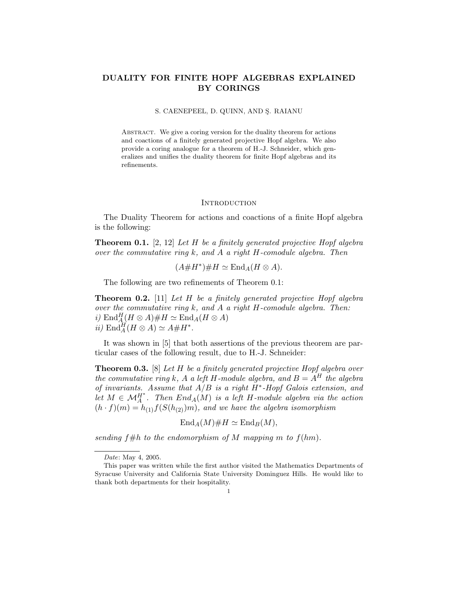# DUALITY FOR FINITE HOPF ALGEBRAS EXPLAINED BY CORINGS

### S. CAENEPEEL, D. QUINN, AND S. RAIANU

ABSTRACT. We give a coring version for the duality theorem for actions and coactions of a finitely generated projective Hopf algebra. We also provide a coring analogue for a theorem of H.-J. Schneider, which generalizes and unifies the duality theorem for finite Hopf algebras and its refinements.

#### **INTRODUCTION**

The Duality Theorem for actions and coactions of a finite Hopf algebra is the following:

**Theorem 0.1.** [2, 12] Let  $H$  be a finitely generated projective Hopf algebra over the commutative ring  $k$ , and  $\tilde{A}$  a right  $H$ -comodule algebra. Then

$$
(A\#H^*)\#H\simeq \mathrm{End}_A(H\otimes A).
$$

The following are two refinements of Theorem 0.1:

**Theorem 0.2.** [11] Let H be a finitely generated projective Hopf algebra over the commutative ring  $k$ , and  $A$  a right  $H$ -comodule algebra. Then: i)  $\mathrm{End}_{A}^H(H\otimes A)\# H\simeq \mathrm{End}_A(H\otimes A)$ ii)  $\text{End}_{A}^{H}(H \otimes A) \simeq A \# H^{*}.$ 

It was shown in [5] that both assertions of the previous theorem are particular cases of the following result, due to H.-J. Schneider:

**Theorem 0.3.** [8] Let H be a finitely generated projective Hopf algebra over the commutative ring k, A a left H-module algebra, and  $B = A<sup>H</sup>$  the algebra of invariants. Assume that  $A/B$  is a right  $H^*$ -Hopf Galois extension, and let  $M \in \mathcal{M}_{A}^{H^*}$ . Then  $End_A(M)$  is a left H-module algebra via the action  $(h \cdot f)(m) = h_{(1)}f(S(h_{(2)})m)$ , and we have the algebra isomorphism

$$
\operatorname{End}_A(M)\#H\simeq \operatorname{End}_B(M),
$$

sending  $f#h$  to the endomorphism of M mapping m to  $f(hm)$ .

Date: May 4, 2005.

This paper was written while the first author visited the Mathematics Departments of Syracuse University and California State University Dominguez Hills. He would like to thank both departments for their hospitality.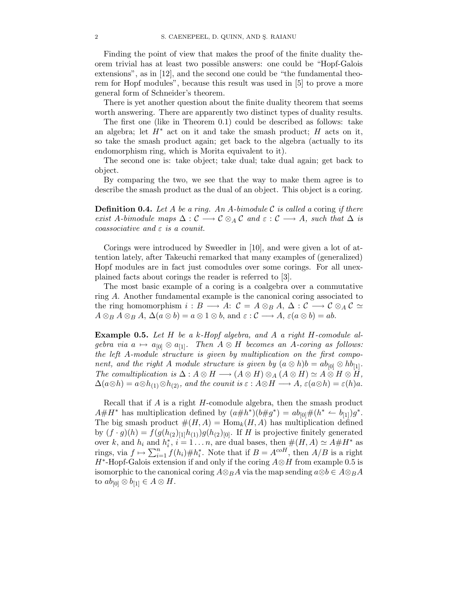Finding the point of view that makes the proof of the finite duality theorem trivial has at least two possible answers: one could be "Hopf-Galois extensions", as in [12], and the second one could be "the fundamental theorem for Hopf modules", because this result was used in [5] to prove a more general form of Schneider's theorem.

There is yet another question about the finite duality theorem that seems worth answering. There are apparently two distinct types of duality results.

The first one (like in Theorem 0.1) could be described as follows: take an algebra; let  $H^*$  act on it and take the smash product; H acts on it, so take the smash product again; get back to the algebra (actually to its endomorphism ring, which is Morita equivalent to it).

The second one is: take object; take dual; take dual again; get back to object.

By comparing the two, we see that the way to make them agree is to describe the smash product as the dual of an object. This object is a coring.

**Definition 0.4.** Let A be a ring. An A-bimodule  $\mathcal C$  is called a coring if there exist A-bimodule maps  $\Delta: \mathcal{C} \longrightarrow \mathcal{C} \otimes_A \mathcal{C}$  and  $\varepsilon: \mathcal{C} \longrightarrow A$ , such that  $\Delta$  is coassociative and  $\varepsilon$  is a counit.

Corings were introduced by Sweedler in [10], and were given a lot of attention lately, after Takeuchi remarked that many examples of (generalized) Hopf modules are in fact just comodules over some corings. For all unexplained facts about corings the reader is referred to [3].

The most basic example of a coring is a coalgebra over a commutative ring A. Another fundamental example is the canonical coring associated to the ring homomorphism  $i : B \longrightarrow A: C = A \otimes_B A, \Delta: C \longrightarrow C \otimes_A C \simeq$  $A \otimes_B A \otimes_B A$ ,  $\Delta(a \otimes b) = a \otimes 1 \otimes b$ , and  $\varepsilon : C \longrightarrow A$ ,  $\varepsilon(a \otimes b) = ab$ .

Example 0.5. Let H be a k-Hopf algebra, and A a right H-comodule algebra via  $a \mapsto a_{[0]} \otimes a_{[1]}$ . Then  $A \otimes H$  becomes an A-coring as follows: the left A-module structure is given by multiplication on the first component, and the right A module structure is given by  $(a \otimes h)b = ab_{[0]} \otimes hb_{[1]}$ . The comultiplication is  $\Delta: A \otimes H \longrightarrow (A \otimes H) \otimes_A (A \otimes H) \simeq A \otimes H \otimes H$ ,  $\Delta(a\otimes h) = a\otimes h_{(1)}\otimes h_{(2)}$ , and the counit is  $\varepsilon : A\otimes H \longrightarrow A$ ,  $\varepsilon(a\otimes h) = \varepsilon(h)a$ .

Recall that if A is a right H-comodule algebra, then the smash product  $A\#H^*$  has multiplication defined by  $(a\#h^*)(b\#g^*) = ab_{[0]}\#(h^* \stackrel{\sim}{\leftarrow} b_{[1]})g^*.$ The big smash product  $\#(H,A) = \text{Hom}_k(H,A)$  has multiplication defined by  $(f \cdot g)(h) = f(g(h_{(2)})_{[1]}h_{(1)})g(h_{(2})_{[0]}$ . If H is projective finitely generated over k, and  $h_i$  and  $h_i^*$  $\sum_{i=1}^{\infty}$  i  $i = 1...n$ , are dual bases, then  $\#(H, A) \simeq A\#H^*$  as rings, via  $f \mapsto \sum_{i=1}^n f(h_i) \# h_i^*$ \*. Note that if  $B = A^{coH}$ , then  $A/B$  is a right  $H^*$ -Hopf-Galois extension if and only if the coring  $A \otimes H$  from example 0.5 is isomorphic to the canonical coring  $A \otimes_B A$  via the map sending  $a \otimes b \in A \otimes_B A$ to  $ab_{[0]}\otimes b_{[1]}\in A\otimes H$ .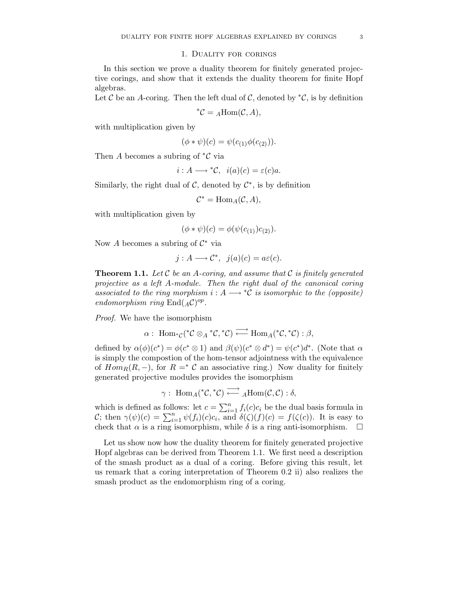## 1. Duality for corings

In this section we prove a duality theorem for finitely generated projective corings, and show that it extends the duality theorem for finite Hopf algebras.

Let C be an A-coring. Then the left dual of C, denoted by  ${}^*\mathcal{C}$ , is by definition

$$
^*\mathcal{C} = {}_A \text{Hom}(\mathcal{C}, A),
$$

with multiplication given by

$$
(\phi * \psi)(c) = \psi(c_{(1)}\phi(c_{(2)})).
$$

Then A becomes a subring of  ${}^*\mathcal{C}$  via

$$
i:A\longrightarrow {}^*\mathcal{C},\ \ i(a)(c)=\varepsilon(c)a.
$$

Similarly, the right dual of  $\mathcal{C}$ , denoted by  $\mathcal{C}^*$ , is by definition

$$
\mathcal{C}^* = \text{Hom}_A(\mathcal{C}, A),
$$

with multiplication given by

$$
(\phi * \psi)(c) = \phi(\psi(c_{(1)})c_{(2)}).
$$

Now A becomes a subring of  $\mathcal{C}^*$  via

$$
j: A \longrightarrow \mathcal{C}^*, \ \ j(a)(c) = a\varepsilon(c).
$$

**Theorem 1.1.** Let C be an A-coring, and assume that C is finitely generated projective as a left A-module. Then the right dual of the canonical coring associated to the ring morphism  $i : A \longrightarrow {}^{\ast}C$  is isomorphic to the (opposite) endomorphism ring  $\text{End}(A\mathcal{C})^{op}.$ 

Proof. We have the isomorphism

$$
\alpha:\ \operatorname{Hom}_{{}^*\mathcal{C}}({}^*\mathcal{C}\otimes_A{}^*\mathcal{C},{}^*\mathcal{C})\stackrel{\longrightarrow}{\longleftarrow}\operatorname{Hom}_A({}^*\mathcal{C},{}^*\mathcal{C}): \beta,
$$

defined by  $\alpha(\phi)(c^*) = \phi(c^* \otimes 1)$  and  $\beta(\psi)(c^* \otimes d^*) = \psi(c^*)d^*$ . (Note that  $\alpha$ is simply the compostion of the hom-tensor adjointness with the equivalence of  $Hom_R(R, -)$ , for  $R = \mathcal{C}$  an associative ring.) Now duality for finitely generated projective modules provides the isomorphism

$$
\gamma: \ \operatorname{Hom}_A({}^*\mathcal{C},{}^*\mathcal{C}) \stackrel{\longrightarrow}{\longleftarrow} {}_A\operatorname{Hom}(\mathcal{C},\mathcal{C}): \delta,
$$

which is defined as follows: let  $c = \sum_{i=1}^{n} f_i(c)c_i$  be the dual basis formula in C; then  $\gamma(\psi)(c) = \sum_{i=1}^n \psi(f_i)(c)c_i$ , and  $\delta(\zeta)(f)(c) = f(\zeta(c))$ . It is easy to check that  $\alpha$  is a ring isomorphism, while  $\delta$  is a ring anti-isomorphism.  $\Box$ 

Let us show now how the duality theorem for finitely generated projective Hopf algebras can be derived from Theorem 1.1. We first need a description of the smash product as a dual of a coring. Before giving this result, let us remark that a coring interpretation of Theorem 0.2 ii) also realizes the smash product as the endomorphism ring of a coring.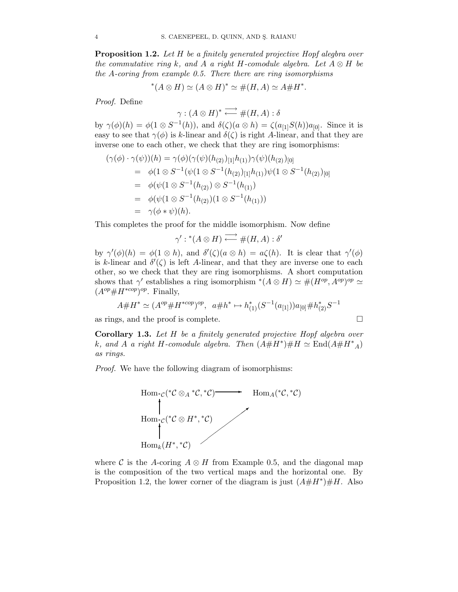**Proposition 1.2.** Let H be a finitely generated projective Hopf alegbra over the commutative ring k, and A a right H-comodule algebra. Let  $A \otimes H$  be the A-coring from example 0.5. There there are ring isomorphisms

$$
^*(A \otimes H) \simeq (A \otimes H)^* \simeq \#(H, A) \simeq A \# H^*.
$$

Proof. Define

 $\gamma : (A \otimes H)^* \stackrel{\longrightarrow}{\longleftarrow} \#(H, A) : \delta$ 

by  $\gamma(\phi)(h) = \phi(1 \otimes S^{-1}(h))$ , and  $\delta(\zeta)(a \otimes h) = \zeta(a_{[1]}S(h))a_{[0]}$ . Since it is easy to see that  $\gamma(\phi)$  is k-linear and  $\delta(\zeta)$  is right A-linear, and that they are inverse one to each other, we check that they are ring isomorphisms:

$$
(\gamma(\phi) \cdot \gamma(\psi))(h) = \gamma(\phi)(\gamma(\psi)(h_{(2)})_{[1]}h_{(1)})\gamma(\psi)(h_{(2)})_{[0]}
$$
  
\n
$$
= \phi(1 \otimes S^{-1}(\psi(1 \otimes S^{-1}(h_{(2)})_{[1]}h_{(1)})\psi(1 \otimes S^{-1}(h_{(2)})_{[0]}
$$
  
\n
$$
= \phi(\psi(1 \otimes S^{-1}(h_{(2)}) \otimes S^{-1}(h_{(1)})
$$
  
\n
$$
= \phi(\psi(1 \otimes S^{-1}(h_{(2)})(1 \otimes S^{-1}(h_{(1)})))
$$
  
\n
$$
= \gamma(\phi * \psi)(h).
$$

This completes the proof for the middle isomorphism. Now define

$$
\gamma':^*(A \otimes H) \xrightarrow{\longrightarrow} \#(H, A) : \delta'
$$

by  $\gamma'(\phi)(h) = \phi(1 \otimes h)$ , and  $\delta'(\zeta)(a \otimes h) = a\zeta(h)$ . It is clear that  $\gamma'(\phi)$ is k-linear and  $\delta'(\zeta)$  is left A-linear, and that they are inverse one to each other, so we check that they are ring isomorphisms. A short computation shows that  $\gamma'$  establishes a ring isomorphism \* $(A \otimes H) \simeq \#(H^{op}, A^{op})^{op} \simeq$  $(A^{op} \# H^{*cop})^{op}$ . Finally,

$$
A \# H^* \simeq (A^{op} \# H^{*cop})^{op}, \ \ a \# h^* \mapsto h_{(1)}^*(S^{-1}(a_{[1]})) a_{[0]} \# h_{(2)}^* S^{-1}
$$

as rings, and the proof is complete.  $\Box$ 

Corollary 1.3. Let H be a finitely generated projective Hopf algebra over k, and A a right H-comodule algebra. Then  $(A \# H^*) \# H \simeq \text{End}(A \# H^*_{A})$ as rings.

Proof. We have the following diagram of isomorphisms:



where C is the A-coring  $A \otimes H$  from Example 0.5, and the diagonal map is the composition of the two vertical maps and the horizontal one. By Proposition 1.2, the lower corner of the diagram is just  $(A \# H^*) \# H$ . Also

$$
\Box
$$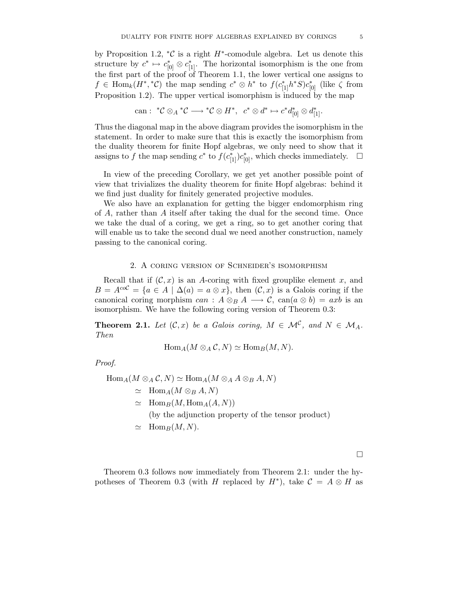by Proposition 1.2,  ${}^*\mathcal{C}$  is a right  $H^*$ -comodule algebra. Let us denote this structure by  $c^* \mapsto c_{[0]}^* \otimes c_{[1]}^*$ . The horizontal isomorphism is the one from the first part of the proof of Theorem 1.1, the lower vertical one assigns to  $f \in \text{Hom}_k(H^*,{}^*\mathcal{C})$  the map sending  $c^* \otimes h^*$  to  $f(c_{[1]}^*h^*S)c_{[0]}^*$  (like  $\zeta$  from Proposition 1.2). The upper vertical isomorphism is induced by the map

can : 
$$
^*C \otimes_A {}^*C \longrightarrow {}^*C \otimes H^*, c^* \otimes d^* \mapsto c^*d_{[0]}^* \otimes d_{[1]}^*.
$$

Thus the diagonal map in the above diagram provides the isomorphism in the statement. In order to make sure that this is exactly the isomorphism from the duality theorem for finite Hopf algebras, we only need to show that it assigns to f the map sending  $c^*$  to  $f(c_{[1]}^*)c_{[0]}^*$ , which checks immediately.  $\Box$ 

In view of the preceding Corollary, we get yet another possible point of view that trivializes the duality theorem for finite Hopf algebras: behind it we find just duality for finitely generated projective modules.

We also have an explanation for getting the bigger endomorphism ring of A, rather than A itself after taking the dual for the second time. Once we take the dual of a coring, we get a ring, so to get another coring that will enable us to take the second dual we need another construction, namely passing to the canonical coring.

### 2. A coring version of Schneider's isomorphism

Recall that if  $(C, x)$  is an A-coring with fixed grouplike element x, and  $B = A^{coC} = \{a \in A \mid \Delta(a) = a \otimes x\}$ , then  $(C, x)$  is a Galois coring if the canonical coring morphism can :  $A \otimes_B A \longrightarrow C$ , can $(a \otimes b) = axb$  is an isomorphism. We have the following coring version of Theorem 0.3:

**Theorem 2.1.** Let  $(C, x)$  be a Galois coring,  $M \in \mathcal{M}^{\mathcal{C}}$ , and  $N \in \mathcal{M}_A$ . Then

$$
\operatorname{Hom}_A(M \otimes_A \mathcal{C}, N) \simeq \operatorname{Hom}_B(M, N).
$$

Proof.

$$
\text{Hom}_{A}(M \otimes_{A} C, N) \simeq \text{Hom}_{A}(M \otimes_{A} A \otimes_{B} A, N)
$$
\n
$$
\simeq \text{Hom}_{A}(M \otimes_{B} A, N)
$$
\n
$$
\simeq \text{Hom}_{B}(M, \text{Hom}_{A}(A, N))
$$
\n(by the adjunction property of the tensor product)

\n
$$
\simeq \text{Hom}_{B}(M, N).
$$

Theorem 0.3 follows now immediately from Theorem 2.1: under the hypotheses of Theorem 0.3 (with H replaced by  $H^*$ ), take  $\mathcal{C} = A \otimes H$  as

 $\Box$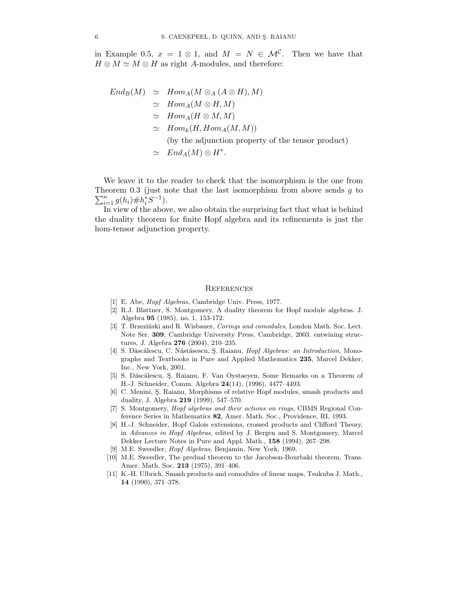in Example 0.5,  $x = 1 \otimes 1$ , and  $M = N \in \mathcal{M}^{\mathcal{C}}$ . Then we have that  $H \otimes M \simeq M \otimes H$  as right A-modules, and therefore:

$$
End_B(M) \simeq Hom_A(M \otimes_A (A \otimes H), M)
$$
  
\n
$$
\simeq Hom_A(M \otimes H, M)
$$
  
\n
$$
\simeq Hom_A(H \otimes M, M)
$$
  
\n
$$
\simeq Hom_k(H, Hom_A(M, M))
$$
  
\n(by the adjunction property of the tensor product)  
\n
$$
\simeq End_A(M) \otimes H^*.
$$

We leave it to the reader to check that the isomorphism is the one from Theorem 0.3 (just note that the last isomorphism from above sends  $g$  to  $\sum_{i=1}^n g(h_i) \# h_i^* S^{-1}$ .

In view of the above, we also obtain the surprising fact that what is behind the duality theorem for finite Hopf algebra and its refinements is just the hom-tensor adjunction property.

### **REFERENCES**

- [1] E. Abe, Hopf Algebras, Cambridge Univ. Press, 1977.
- [2] R.J. Blattner, S. Montgomery, A duality theorem for Hopf module algebras. J. Algebra 95 (1985), no. 1, 153-172.
- [3] T. Brzeziński and R. Wisbauer, Corings and comodules, London Math. Soc. Lect. Note Ser. 309, Cambridge University Press, Cambridge, 2003. entwining structures, J. Algebra 276 (2004), 210–235.
- [4] S. Dăscălescu, C. Năstăsescu, S. Raianu, *Hopf Algebras: an Introduction*, Monographs and Textbooks in Pure and Applied Mathematics 235, Marcel Dekker, Inc., New York, 2001.
- [5] S. Dăscălescu, Ş. Raianu, F. Van Oystaeyen, Some Remarks on a Theorem of H.-J. Schneider, Comm. Algebra 24(14), (1996), 4477–4493.
- [6] C. Menini, S. Raianu, Morphisms of relative Hopf modules, smash products and duality, J. Algebra 219 (1999), 547–570.
- [7] S. Montgomery, Hopf algebras and their actions on rings, CBMS Regional Conference Series in Mathematics 82, Amer. Math. Soc., Providence, RI, 1993.
- [8] H.-J. Schneider, Hopf Galois extensions, crossed products and Clifford Theory, in Advances in Hopf Algebras, edited by J. Bergen and S. Montgomery, Marcel Dekker Lecture Notes in Pure and Appl. Math., 158 (1994), 267–298.
- [9] M.E. Sweedler, Hopf Algebras, Benjamin, New York, 1969.
- [10] M.E. Sweedler, The predual theorem to the Jacobson-Bourbaki theorem, Trans. Amer. Math. Soc. 213 (1975), 391–406.
- [11] K.-H. Ulbrich, Smash products and comodules of linear maps, Tsukuba J. Math., 14 (1990), 371–378.